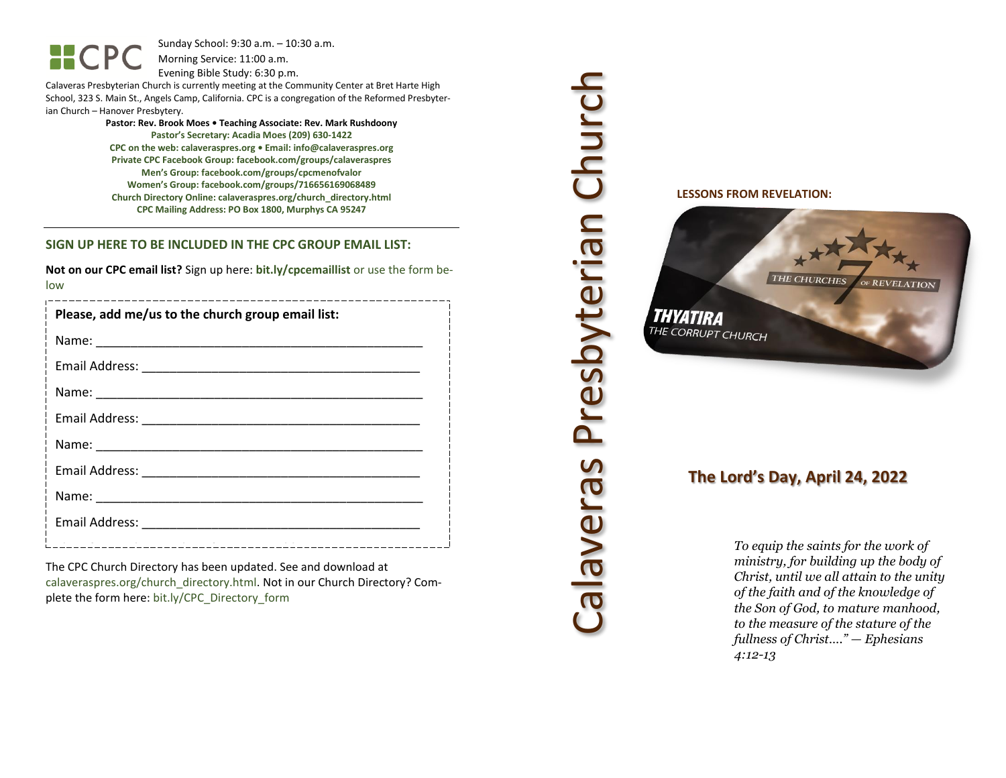Sunday School: 9: 3 0 a.m. – 10:30 a.m. Morning Service: 1 1 :00 a.m.

Evening Bible Study: 6: 30 p.m.

Calaveras Presbyterian Church is currently meeting at the Community Center at Bret Harte High School, 323 S. Main St., Angels Camp, California. CPC is a congregation of the Reformed Presbyterian Church – Hanover Presbytery.

> **Pastor: Rev. Brook Moes • Teaching Associate: Rev. Mark Rushdoony Pastor's Secretary: Acadia Moes (209) 630 -1422 CPC on the web: calaveraspres.org • Email: [info@calaveraspres.org](mailto:info@calaveraspres.org) Private CPC Facebook Group: facebook.com/groups/calaveraspres Men's Group: facebook.com/groups/cpcmenofvalor Women's Group: facebook.com/groups/716656169068489 Church Directory Online: calaveraspres.org/church \_directory.html CPC Mailing Address: PO Box 1800, Murphys CA 95247**

#### **SIGN UP HERE TO BE INCLUDED IN THE CPC GROUP EMAIL LIST:**

**Not on our CPC email list?** Sign up here: **bit.ly/cpcemaillist** or use the form below

| Please, add me/us to the church group email list: |
|---------------------------------------------------|
|                                                   |
|                                                   |
|                                                   |
|                                                   |
|                                                   |
|                                                   |
|                                                   |
|                                                   |
|                                                   |

The CPC Church Directory has been updated. See and download at calaveraspres.org/church\_directory.html. Not in our Church Directory? Complete the form here: bit.ly/CPC\_Directory\_form

Calaveras Presbyterian Church Calaveras Presbyterian Church

**LESSONS FROM REVELATION:**



## **The Lord's Day, April 24, 202 2**

*To equip the saints for the work of ministry, for building up the body of Christ, until we all attain to the unity of the faith and of the knowledge of the Son of God, to mature manhood, to the measure of the stature of the fullness of Christ…." — Ephesians 4:12 -13*